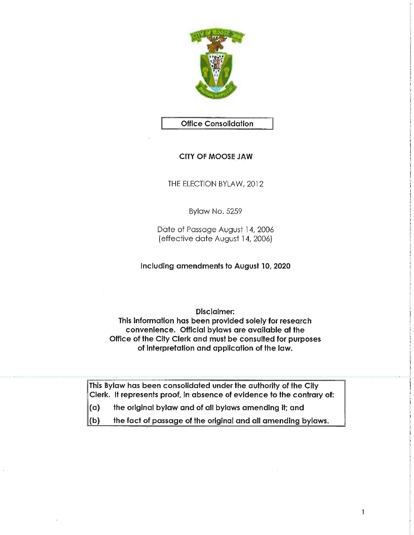

# Office Consolidation

# CITY OF MOOSE JAW

THE ELECTION BYLAW, 2012

Bylaw No. 5259

Date of Passage August 14, 2006 (effective date August 14, 2006}

Including amendments to August 10, 2020

Disclaimer:

This information has been provided solely for research convenience. Official bylaws are available at the Office of the City Clerk and must be consulted for purposes of interpretation and application of the law.

This Bylaw has been consolidated under the authority of the City Clerk. It represents proof, in absence of evidence to the contrary of:

- (a) the original bylaw and of all bylaws amending it; and
- $\vert$ (b) the fact of passage of the original and all amending bylaws.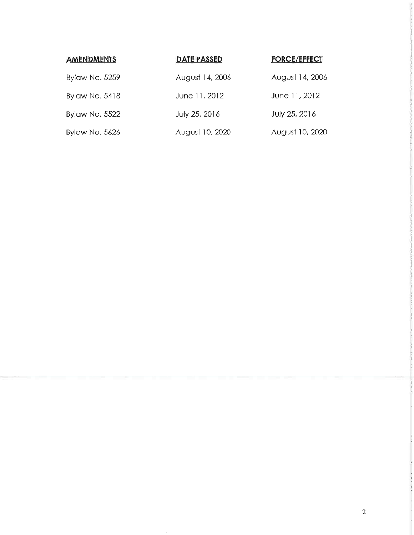| <b>AMENDMENTS</b>     | <b>DATE PASSED</b> | <b>FORCE/EFFECT</b> |
|-----------------------|--------------------|---------------------|
| <b>Bylaw No. 5259</b> | August 14, 2006    | August 14, 2006     |
| <b>Bylaw No. 5418</b> | June 11, 2012      | June 11, 2012       |
| Bylaw No. 5522        | July 25, 2016      | July 25, 2016       |
| <b>Bylaw No. 5626</b> | August 10, 2020    | August 10, 2020     |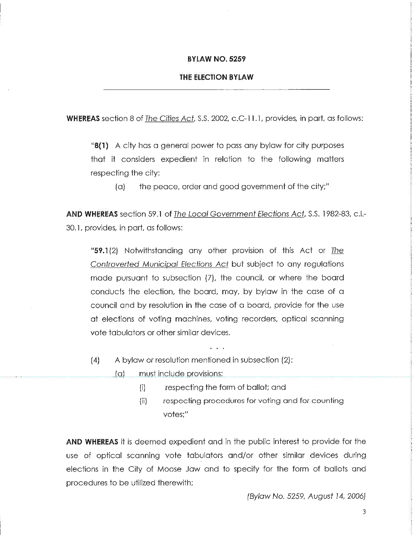#### BYLAW NO. 5259

#### THE ELECTION BYLAW

**WHEREAS** section 8 of The Cities Act, S.S. 2002, c.C-11.1, provides, in part, as follows:

 $\mathbf{B}(1)$  A city has a general power to pass any bylaw for city purposes that it considers expedient in relation to the following matters respecting the city:

 $(a)$  the peace, order and good government of the city;"

AND WHEREAS section 59.1 of The Loca/ Government Elections Act, S.S. 1982-83, c.L-30.1, provides, in part, as follows:

"59.1(2) Notwithstanding any other provision of this Act or The Controverted Municipal Elections Act but subject to any regulations made pursuant to subsection (7), the council, or where the board conducts the election, the board, may, by bylaw in the case of a council and by resolution in the case of a board, provide for the use at elections of voting machines, voting recorders, optical scanning vote tabulators or other similar devices.

(4) A bylaw or resolution mentioned in subsection (2):

(a) must include provisions:

[i] respecting the form of ballot; and

. . .

[ii] respecting procedures for voting and for counting votes;"

AND WHEREAS it is deemed expedient and in the public interest to provide for the use of optical scanning vote tabulators and/or other similar devices during elections in the City of Moose Jaw and to specify for the form of ballots and procedures to be utilized therewith;

(Bylaw No. 5259, August 14, 2006)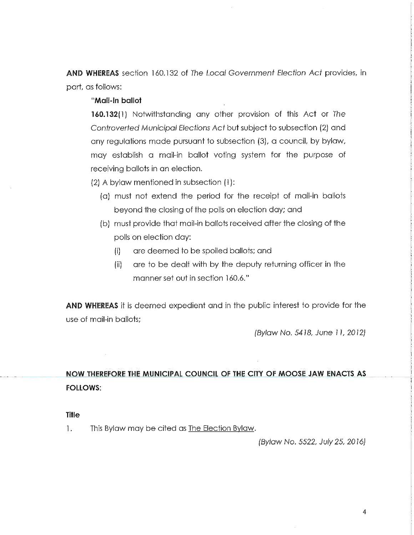AND WHEREAS section 160.132 of The Local Government Election Act provides, in part, as follows:

# "Mail-in ballot

160.132(1) Notwithstanding any other provision of this Act or The Controverted Municipal Elections Act but subject to subsection (2) and any regulations made pursuant to subsection (3), a council, by bylaw, may establish a mail-in ballot voting system for the purpose of receiving ballots in an election.

(2) A bylaw mentioned in subsection (I):

- (a) must not extend the period for the receipt of moil-in ballots beyond the closing of the polls on election day; and
- (b) must provide that mail-in ballots received after the closing of the polls on election day:
	- (i) are deemed to be spoiled ballots; and
	- (ii) are to be dealt with by the deputy returning officer in the manner set out in section 160.6."

AND WHEREAS it is deemed expedient and in the public interest to provide for the use of mail-in ballots;

(Bylaw No. 5418, June ] 1, 2012)

# NOW THEREFORE THE MUNICIPAL COUNCIL OF THE CITY OF MOOSE JAW ENACTS AS FOLLOWS:

#### Title

1. This Bylaw may be cited as The Election Bylaw.

(Byiaw No. 5522, July 25, 2016)

4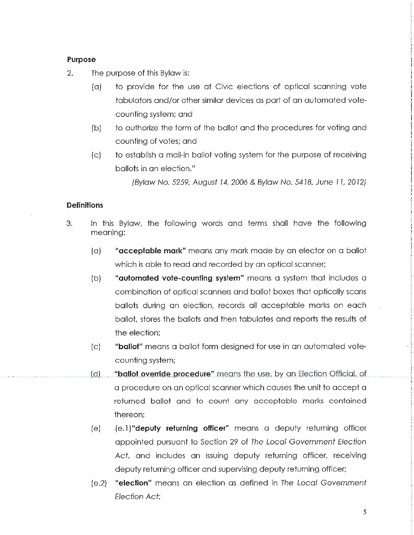### Purpose

2. The purpose of this Bylaw is:

- (a) to provide for the use at Civic elections of optical scanning vote tabulators and/or other similar devices as part of an automated votecounting system; and
- (b) to authorize the form of the ballot and the procedures for voting and counting of votes; and
- (c) to establish a mail-in ballot voting system for the purpose of receiving ballots in an election."

(Bylaw No. 5259, August 14, 2006 & Bylaw No. 5418, June 11, 2012)

### **Definitions**

- 3. In this Bylaw, the following words and terms shall have the following meaning:
	- $(a)$  "acceptable mark" means any mark made by an elector on a ballot which is able to read and recorded by an optical scanner;
	- (b) **"automated vote-counting system"** means a system that includes a combination of optical scanners and ballot boxes that optically scans ballots during an election, records all acceptable marks on each ballot, stores the ballots and then tabulates and reports the results of the election;
	- [c] "ballot" means a ballot form designed for use in an automated votecounting system;
	- (d) "ballot override procedure" means the use, by an Election Official, of a procedure on an optical scanner which causes the unit to accept a returned ballot and to count any acceptable marks contained thereon;
	- (e)  $(e, 1)$ "deputy returning officer" means a deputy returning officer appointed pursuant to Section 29 of The Loca/ Government Election Act, and includes an issuing deputy returning officer, receiving deputy returning officer and supervising deputy returning officer;
	- (e.2) "election" means an election as defined in The Loca/ Government Election Act: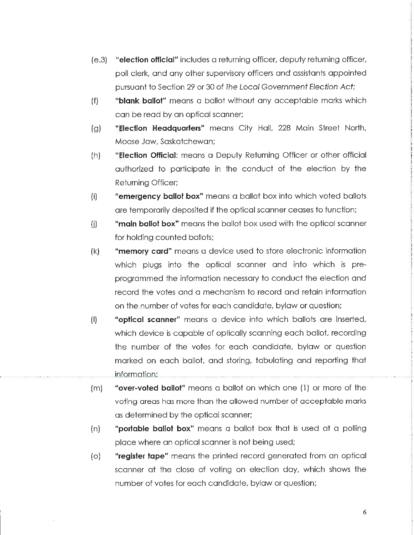- (e.3) "election official" includes a returning officer, deputy returning officer, poll clerk, and any other supervisory officers and assistants appointed pursuant to Section 29 or 30 of The Local Government Election Act;
- (f) "blank ballot" means a ballot without any acceptable marks which can be read by an optical scanner;
- (g) "**Election Headquarters**" means City Hall, 228 Main Street North, Moose Jaw, Saskatchewan;
- (h) "**Election Official:** means a Deputy Returning Officer or other official authorized to participate in the conduct of the election by the Returning Officer;
- (i) "emergency ballot box" means a ballot box into which voted ballots ore temporarily deposited if the optical scanner ceases to function;
- (i) "main ballot box" means the ballot box used with the optical scanner for holding counted ballots;
- (k) "memory card" means a device used to store electronic information which plugs into the optical scanner and into which is preprogrammed the information necessary to conduct the election and record the votes and a mechanism to record and retain information on the number of votes for each candidate, bylaw or question;
- (I) "optical scanner" means a device into which ballots are inserted, which device is capable of optically scanning each ballot, recording the number of the votes for each candidate, bylaw or question marked on each ballot, and storing, tabulating and reporting that information;
- (m) "over-voted ballot" means a ballot on which one (1) or more of the voting areas has more than the allowed number of acceptable marks as determined by the optical scanner;
- (n) "portable ballot box" means a bollot box that is used at a polling place where an optical scanner is not being used;
- (o) "register tape" means the printed record generated from an optical scanner at the close of voting on election day, which shows the number of votes for each candidate, bylaw or question;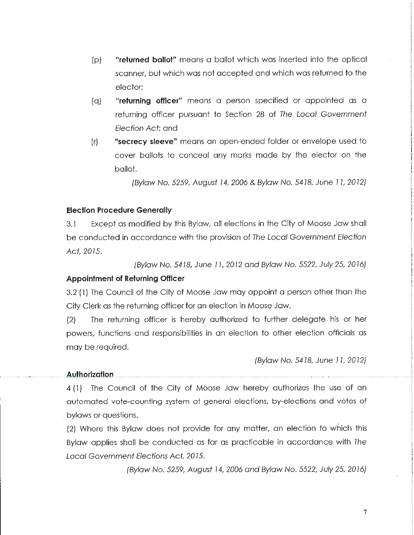- (p) "returned ballot" means a ballot which was inserted into the optical scanner, but which was not accepted and which was returned to the elector;
- [q] "returning officer" means a person specified or appointed as a returning officer pursuant to Section 28 of The Local Government Election Act: and
- (r) "secrecy sleeve" means an open-ended folder or envelope used to cover ballots to conceal any marks made by the elector on the ballot.

(Bylaw No. 5259, August 14, 2006 & Bylaw No. 5418, June 11, 2012)

# Election Procedure Generally

3.1 Except as modified by this Bylaw, all elections in the City of Moose Jaw shall be conducted in accordance with the provision of The Local Government Election Act 2015.

(Bylaw No. 54} 8, June ]1, 2012 and Bylaw No. 5522, July 25, 20]6]

# Appointment of Returning Officer

3.2 (1) The Council of the City of Moose Jaw may appoint a person other than the City Clerk as the returning officer for an election in Moose Jaw.

(2) The returning officer is hereby authorized to further delegate his or her powers, functions and responsibilities in an election to other election officials as may be required.

(Bylaw No. 5418, June 11, 2012)

# Authorization

4(1} The Council of the City of Moose Jaw hereby authorizes the use of an automated vote-counting system at general elections, by-elections and votes of bylaws or questions.

(2) Where this Bylaw does not provide for any matter, an election to which this Bylaw applies shall be conducted as far as practicable in accordance with The Local Government Elections Act, 2015.

(Byiaw No. 5259, August ?4, 2006 and B//aw No. 5522, July 25, 2016)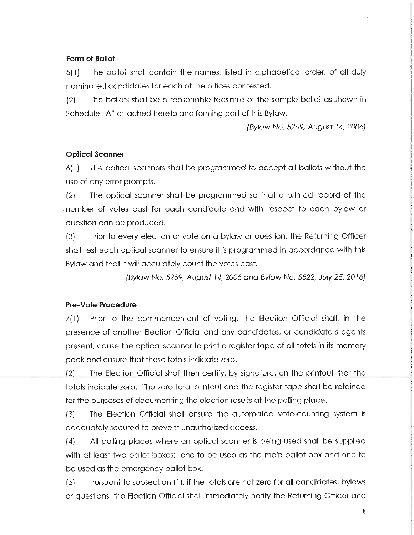# Form of Ballot

5(1) The ballot shall contain the names, listed in alphabetical order, of all duly nominated candidates for each of the offices contested.

(2) The ballots shall be a reasonable facsimile of the sample ballot as shown in Schedule "A" attached hereto and forming part of this Bylaw.

(Bylaw No. 5259, August 14, 2006)

# Optical Scanner

6(1] The optical scanners shall be programmed to accept all ballots without the use of any error prompts.

(2) The optical scanner shall be programmed so that a printed record of the number of votes cast for each candidate and with respect to each bylaw or question can be produced.

(3) Prior to every election or vote on a bylaw or question, the Returning Officer shall test each optical scanner to ensure it is programmed in accordance with this Bylaw and that it will accurately count the votes cast.

(Bylaw No. 5259, August ?4/ 2006 and Byfaw No. 5522, July 25, 20]6)

# Pre-Vote Procedure

 $7(1)$  Prior to the commencement of voting, the Election Official shall, in the presence of another Election Official and any candidates, or candidate's agents present, cause the optical scanner to print a register tape of all totals in its memory pack and ensure that those totals indicate zero.

(2) The Election Official shall then certify, by signature, on the printout that the totals indicate zero. The zero total printout and the register tape shall be retained for the purposes of documenting the election results at the polling place.

(3) The Election Official shall ensure the automated vote-counting system is adequately secured to prevent unauthorized access.

(4) All polling places where an optical scanner is being used shall be supplied with at least two ballot boxes: one to be used as the main ballot box and one to be used as the emergency ballot box.

(5) Pursuant to subsection (1), if the totals are not zero for all candidates, bylaws or questions, the Election Official shall immediately notify the Returning Officer and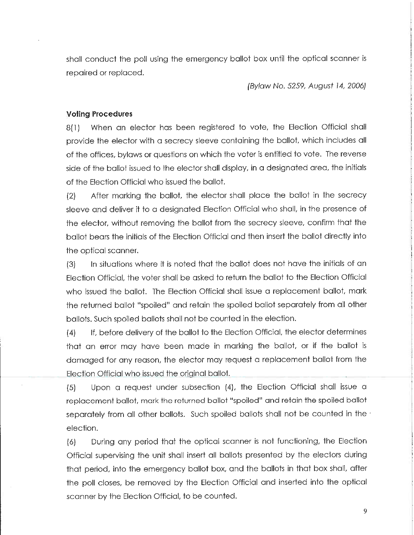shall conduct the poll using the emergency ballot box until the optical scanner is repaired or replaced.

(Bylaw No. 5259, August ]4, 2006]

#### Voting Procedures

8(1) When an elector has been registered to vote, the Election Official shall provide the elector with a secrecy sleeve containing the ballot, which includes all of the offices, bylaws or questions on which the voter is entitled to vote. The reverse side of the ballot issued to the elector shall display, in a designated area, the initials of the Election Official who issued the ballot.

 $(2)$  After marking the ballot, the elector shall place the ballot in the secrecy sleeve and deliver it to a designated Election Official who shall, in the presence of the elector, without removing the ballot from the secrecy sleeve, confirm that the ballot bears the initials of the Election Official and then insert the ballot directly into the optical scanner.

(3) In situations where it is noted that the ballo+ does not have the initials of an Election Official, the voter shall be asked to return the ballot to the Election Official who issued the ballot. The Election Official shall issue a replacement ballot, mark the returned ballot "spoiled" and retain the spoiled ballot separately from all other ballots. Such spoiled ballots shall not be counted in the election.

(4) If, before delivery of the ballot to the Election Official, the elector determines that an error may have been made in marking the ballot, or if the ballot is damaged for any reason, the elector may request a replacement ballot from the Election Official who issued the original ballot.

(5) Upon a request under subsection (4), the Election Official shall issue a replacement ballot, mark the returned ballot "spoiled" and retain the spoiled ballot separately from all other ballots. Such spoiled ballots shall not be counted in the  $\cdot$ election.

(6) During any period that the optical scanner is not functioning, the Election Official supervising the unit shall insert all ballots presented by the electors during that period, into the emergency ballot box, and the ballots in that box shall, after the poll closes, be removed by the Election Official and inserted into the optical scanner by the Election Official, to be counted.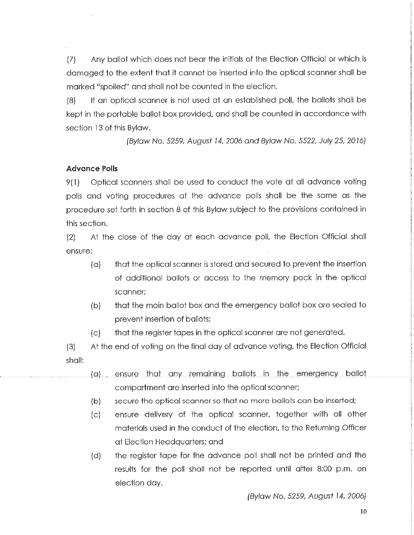(7) Any ballot which does not bear the initials of the Election Official or which is damaged to the extent that it cannot be inserted into the optical scanner shall be marked "spoiled" and shall not be counted in the election.

(8) If an optical scanner is not used at an established poll, the ballots shall be kept in the portable ballot box provided, and shall be counted in accordance with section 13 of this Byiaw.

(Byiaw No. 5259, August 14, 2006 and Bylaw No. 5522, July 25, 2016)

# Advance Polls

9(1) Optical scanners shall be used to conduct the vote at all advance voting polls and voting procedures at the advance polls shall be the same as the procedure set forth in section 8 of this Bylaw subject to the provisions contained in this section.

[2] At the close of the day a+ each advance poll, the Election Official shall ensure:

- (a) that the optical scanner is stored and secured to prevent the insertion of additional ballots or access to the memory pack in the optical scanner;
- (b) that the main ballot box and the emergency ballot box are sealed to prevent insertion of ballots;
- (c) that the register tapes in the optical scanner are not generated.

(3) At the end of voting on the final day of advance voting/ the Election Official shall:

- (a) ensure that any remaining ballots in the emergency ballot compartment are inserted into the optical scanner;
- (b) secure the optical scanner so that no more ballots can be inserted;
- (c) ensure delivery of the optical scanner, together with all other materials used in the conduct of the election, to the Returning Officer at Election Headquarters; and
- (d) the register tape for the advance poll shall not be printed and the results for the poll shall not be reported until after 8:00 p.m. on election day.

(Bylaw No. 5259, August 14, 2006)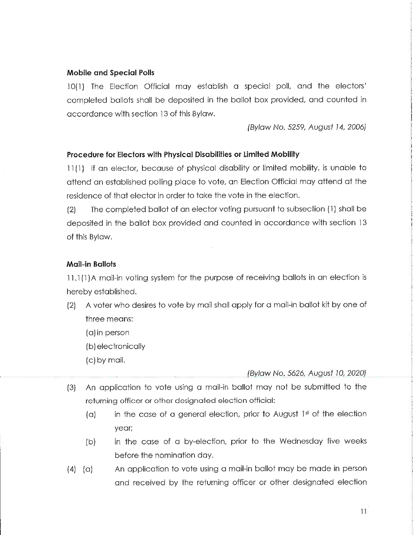# Mobile and Special Polls

10(1) The Election Official may establish a special poll, and the electors' completed ballots shall be deposited in the ballot box provided, and counted in accordance with section 13 of this Bylaw.

(Bylaw No. 5259, August 14, 2006)

# Procedure for Electors with Physical Disabilities or Limited Mobility

11(1) If an elector, because of physical disability or limited mobility, is unable to attend an established polling place to vote, an Election Official may attend at the residence of that elector in order to take the vote in the election.

 $(2)$  The completed ballot of an elector voting pursuant to subsection  $(1)$  shall be deposited in the ballot box provided and counted in accordance with section 13 of this Bylaw.

# Mail-in Ballots

11.1 (1}A mail-in voting system for the purpose of receiving ballots in an election is hereby established.

- (2) A voter who desires to vote by mail shall apply for a mail-in ballot kit by one of three means:
	- (a) in person
	- (b) electronically
	- (c) by mail.

# (Bylaw No. 5626, August 10, 2020)

- (3) An application to vote using a mail-in ballot may not be submitted to the returning officer or other designated election official:
	- (a) in the case of a general election, prior to August 1st of the election year;
	- (b) in the case of a by-election, prior to the Wednesday five weeks before the nomination day.
- (4) (a) An application to vote using a mail-in ballot may be made in person and received by the returning officer or other designated election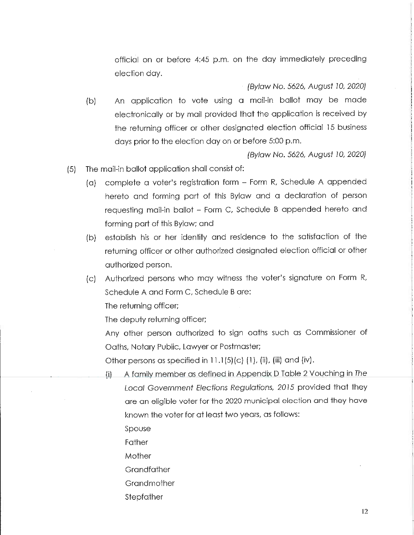official on or before 4:45 p.m. on the day immediately preceding election day.

(Byfaw No. 5626, August JO/ 2020;

(b) An application to vote using a mail-in ballot may be made electronically or by mail provided that the application is received by the returning officer or other designated election official 15 business days prior to the election day on or before 5:00 p.m.

(Bylaw No. 5626, August 10, 2020)

- (5) The mail-in ballot appliccition shall consist of:
	- (a) complete a voter's registration form Form R, Schedule A appended hereto and forming part of this Bylaw and a declaration of person requesting mail-in ballot - Form C, Schedule B appended hereto and forming part of this Bylaw; and
	- (b) establish his or her identity and residence to the satisfaction of the returning officer or other authorized designated election official or other authorized person.
	- (c) Authorized persons who may witness the voter's signature on Form R, Schedule A and Form C, Schedule B are:

The returning officer;

The deputy returning officer;

Any other person authorized to sign oaths such as Commissioner of Oaths, Notary Public, Lawyer or Postmaster;

Other persons as specified in  $11.1(5)(c)$  (1), (ii), (iii) and (iv).

- (i) A family member as defined in Appendix D Table 2 Vouching in The Local Government Elections Regulations, 2015 provided that they are an eligible voter for the 2020 municipal election and they have known the voter for at least two years, as follows:
	- Spouse
	- Father

**Mother** 

- **Grandfather**
- **Grandmother**
- Stepfather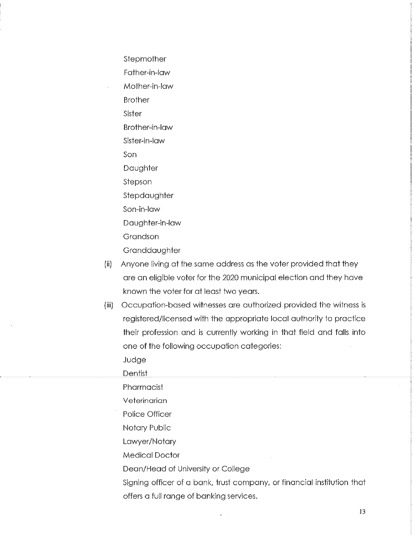Stepmother Father-in-law Mother-in-law Brother Sister Brother-in-law Sister-in-law Son Daughter S+epson Stepdaughter Son-in-law Daughter-in-law Grandson **Granddaughter** 

- (ii) Anyone living at the same address as the voter provided that they are an eligible voter for the 2020 municipal election and they have known the voter for at least two years.
- (iii) Occupation-based witnesses are authorized provided the witness is registered/licensed with the appropriate local authority to practice their profession and is currently working in that field and falls into one of the following occupation categories:

Judge

**Dentist** 

Pharmacist

**Veterinarian** 

Police Officer

Notary Public

Lawyer/Notary

Medical Doctor

Dean/Head of University or College

Signing officer of a bank, trust company, or financial institution that offers a full range of banking services.

13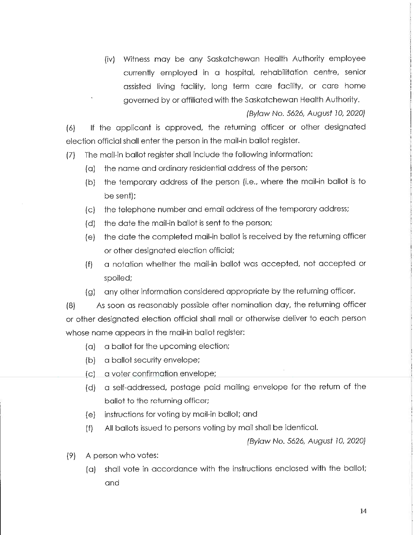(iv) Witness may be any Saskatchewan Health Authority employee currently employed in a hospital, rehabilitation centre, senior assisted living facility, long term care facility, or care home governed by or affiliated with the Saskatchewan Health Authority.

(Bylaw No. 5626, August 10, 2020)

(6) If the applicant is approved, the returning officer or other designated election official shall enter the person in the mail-in ballot register.

(7) The mail-in ballot register shall include the following information:

- (a) the name and ordinary residential address of the person;
- [b] the temporary address of the person (i.e., where the mail-in ballot is to be sent);
- (c) the telephone number and email address of the temporary address;
- (d) the date the mail-in ballot is sent to the person;
- (e) the date the completed mail-in ballot is received by the returning officer or other designated election official;
- (f) a notation whether the mail-in ballot was accepted, not accepted or spoiled;
- [g] any other information considered appropriate by the returning officer.

(8) As soon as reasonably possible after nomination day, the returning officer or other designated election official shall mail or otherwise deliver to each person whose name appears in the mail-in ballot register:

- (a) a ballot for the upcoming election;
- (b) a ballot security envelope;
- (c) a voter confirmation envelope;
- (d) a seif-addressed, postage paid mailing envelope for the return of the bailot to the returning officer;
- (e) instructions for voting by mail-in ballot; and
- (f) All ballots issued +o persons voting by mail shall be identical.

(Bylaw No. 5626, August 10, 2020)

- (9) A person who votes:
	- (a) shall vote in accordance with the instructions enclosed with the ballot; and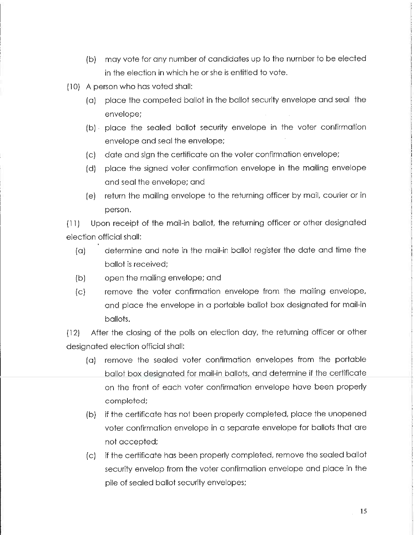- (b) may vote for any number of candidates up to the number to be elected in the election in which he or she is entitled to vote.
- (10) A person who has voted shall:
	- (a) place the competed ballot in the ballo+ security envelope and seal the envelope;
	- (b) place the sealed ballot security envelope in the voter confirmation envelope and seal the envelope;
	- (c) date and sign the certificate on the voter confirmation envelope;
	- (d) place the signed voter confirmation envelope in the mailing envelope and seal the envelope; and
	- (e) return the mailing envelope to the returning officer by mail/ courier or in person.

(11) Upon receipt of the mail-in ballot, the returning officer or other designated election official shall:

- (a) determine and note in the mail-in ballot register the date and time the ballot is received;
- (b) open the mailing envelope; and
- (c) remove the voter confirmation envelope from the mailing envelope, and place the envelope in a portable ballot box designated for mail-in ballots.

(12) After the closing of the polls on election day, the returning officer or other designated election official shall:

- (a) remove the sealed voter confirmation envelopes from the portable ballot box designated for mail-in ballots, and determine if the certificate on the front of each voter confirmation envelope have been properly completed;
- (b) if the certificate has not been properly completed, place the unopened voter confirmation envelope in a separate envelope for ballots that are not accepted;
- (c) if the certificate has been properly completed, remove the sealed ballot security envelop from the voter confirmation envelope and place in the pile of sealed ballot security envelopes;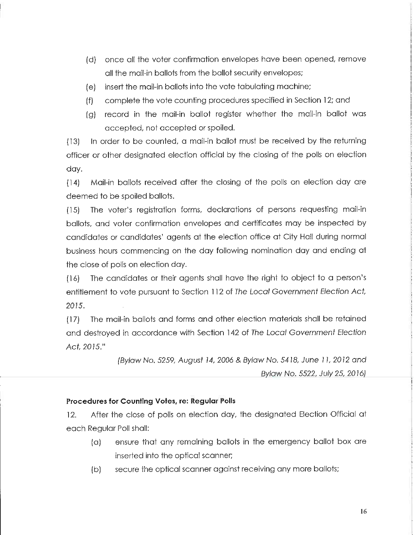- (d) once all the voter confirmation envelopes have been opened, remove all the mail-in ballots from the ballot security envelopes;
- (e) insert the mail-in ballots into the vote tabulating machine;
- (f) complete the vote counting procedures specified in Section 12; and
- [g] record in the mail-in ballot register whether the mail-in baliot was accepted, not accepted or spoiled.

(13) In order to be counted, a mail-in ballot must be received by the returning officer or other designated election official by the closing of the polls on election day.

(14) Mail-in ballots received after the closing of the polls on election day are deemed to be spoiled ballots.

(15) The voter's registration forms, declarations of persons requesting mail-in ballots, and voter confirmation envelopes and certificates may be inspected by candidates or candidates' agents at the election office at City Hall during normal business hours commencing on the day following nomination day and ending at the close of polls on election day.

(16) The candidates or their agents shall have the right +o object to a person's entitlement to vote pursuant to Section 112 of The Local Government Election Act, 2015.

(17) The mali-in ballo+s and forms and other election materials shall be retained and destroyed in accordance with Section 142 of The Local Government Election Act. 2015."

> (Bylaw No. 5259, August 14, 2006 & Bylaw No. 5418, June 11, 2012 and By/aw No. 5522, July 25, 2016)

# Procedures for Counting Votes, re: Regular Polls

12. After the close of polls on election day, the designated Election Official a+ each Regular Poll shall:

- (a) ensure that any remaining ballots in the emergency ballot box are inserted into the optical scanner;
- (b) secure the optical scanner against receiving any more ballots;

16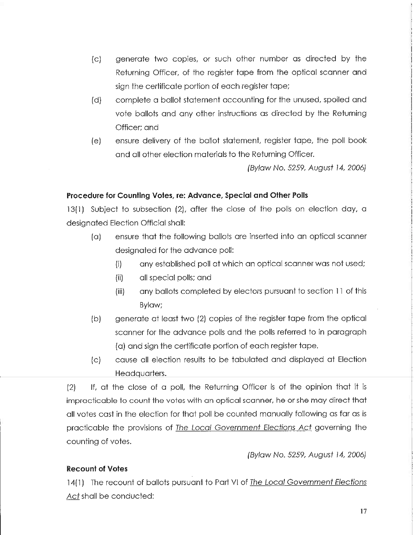- (c) generate two copies, or such other number as directed by the Returning Officer, of the register tape from the optical scanner and sign the certificate portion of each register tape;
- (d) complete a ballot statement accounting for the unused, spoiled and vote ballots and any other instructions as directed by the Returning Officer; and
- (e) ensure delivery of the ballot statement, register tape, the poll book and all other election materials to the Returning Officer.

(Bylaw No. 5259, August 14, 2006)

### Procedure for Counting Votes, re: Advance, Special and Other Polls

13(1) Subject to subsection (2), after the close of the polls on election day, a designated Election Official shall:

- [a] ensure that the following ballots are inserted into an optical scanner designated for the advance poll:
	- (i) any established poll at which an optical scanner was not used;
	- (ii) all special polls; and
	- (iii) any ballots completed by electors pursuant to section 11 of this Bylaw;
- (b) generate at least two (2) copies of the register tape from the optical scanner for the advance polls and the polls referred to in paragraph (a) and sign the certificate portion of each register tape.
- (c) cause all election results to be tabulated and displayed a+ Election Headquarters.

(2) If/ at the close of a poll, the Returning Officer is of the opinion that it is impracticable to count the votes with an optical scanner, he or she may direct that all votes cost in the election for that poll be counted manually following as far as is practicable the provisions of The Local Government Elections Act governing the counting of votes.

(Bylaw No. 5259, August 14, 2006)

# Recount of Votes

14(1) The recount of ballots pursuant to Part VI of <u>The Local Government Elections</u> Act shall be conducted: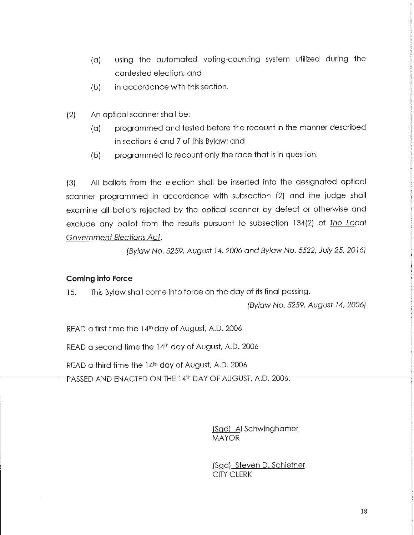- (a) using the automated voting-counting system utilized during the contested election; and
- (b) in accordance with this section.
- (2) An optical scanner shall be:
	- (a) programmed and tested before the recount in the manner described in sections 6 and 7 of this Bylaw; and
	- (b) programmed to recount only the race that is in question.

(3) All ballots from the election shall be inserted into the designated optical scanner programmed in accordance with subsection (2) and the judge shall examine all ballots rejected by the optical scanner by defect or otherwise and exclude any ballot from the results pursuant to subsection 134(2) of The Local Government Efections Act,

(Bylaw No. 5259, August 14, 2006 and Bylaw No. 5522, July 25, 2016)

# Coming into Force

15. This Bylaw shall come into force on the day of its final passing.

(Bylaw No. 5259, August 14, 2006)

READ a first time the  $14<sup>th</sup>$  day of August, A.D. 2006

READ a second time the  $14<sup>th</sup>$  day of August, A.D. 2006

READ a third time the  $14<sup>th</sup>$  day of August, A.D. 2006

PASSED AND ENACTED ON THE 14th DAY OF AUGUST, A.D. 2006.

(Sad) Al Schwinghamer MAYOR

(Sgd) Steven D. Schiefner CITY CLERK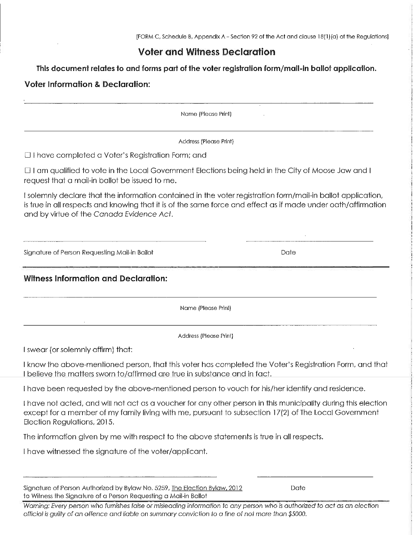# Voter and Witness Declaration

This document relates to and forms part of the voter registration form/mail-in ballot application.

# Voter Information & Declaration:

Name (Please Print)

Address (Please Print)

D I have completed a Voter's Registration Form; and

D I am qualified to vote in the Local Government Elections being held in the City of Moose Jaw and I request that a mail-in ballot be issued to me.

I solemnly declare that the information contained in the voter registration form/mail-in ballot application, is true in all respects and knowing that it is of the same force and effect as if made under oafh/affirmotion and by virtue of the Canada Evidence Act.

Signature of Person Requesting Mail-in Ballot Date Date Date Date

Witness Information and Declaration:

Name (Please Print)

Address (Please Print]

I swear (or solemnly affirm) that:

I know the above-mentioned person, that this voter has completed the Voter's Registration Form, and that I believe the matters sworn to/affirmed are true in substance and in fact.

I have been requested by the above-mentioned person to vouch for his/her identify and residence.

[ have not acted, and will not act as a voucher for any other person in this municipality during this election except for a member of my family living with me, pursuant to subsection 17(2) of The Local Government Election Regulations, 2015.

The information given by me with respect to the above statements is true in all respects.

I have witnessed the signature of the voter/applicant.

| Signature of Person Authorized by Bylaw No. 5259, The Election Bylaw, 2012 | Date |
|----------------------------------------------------------------------------|------|
| to Witness the Signature of a Person Requesting a Mail-in Ballot           |      |

Warning: Every person who furnishes false or misleading information to any person who is authorized to act as an election official is guilty of an offence and liable on summary conviction to a fine of not more than \$5000.